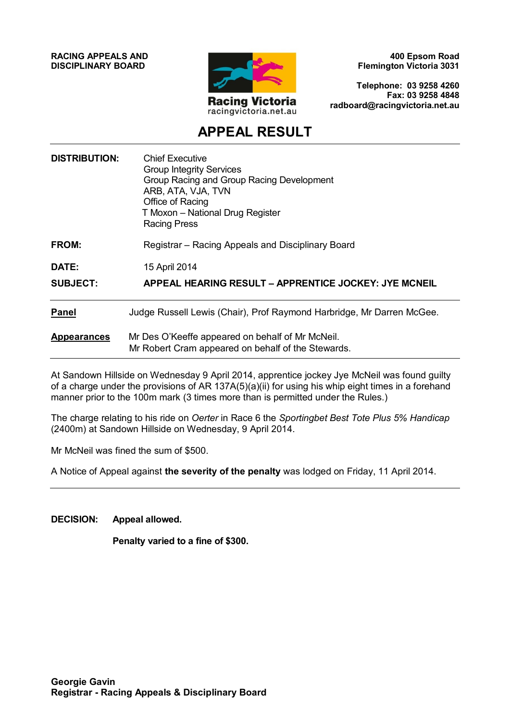**RACING APPEALS AND DISCIPLINARY BOARD**



**400 Epsom Road Flemington Victoria 3031**

**Telephone: 03 9258 4260 Fax: 03 9258 4848 radboard@racingvictoria.net.au**

# **APPEAL RESULT**

| <b>DISTRIBUTION:</b> | <b>Chief Executive</b><br><b>Group Integrity Services</b><br>Group Racing and Group Racing Development<br>ARB, ATA, VJA, TVN<br>Office of Racing<br>T Moxon - National Drug Register<br><b>Racing Press</b> |
|----------------------|-------------------------------------------------------------------------------------------------------------------------------------------------------------------------------------------------------------|
| FROM:                | Registrar – Racing Appeals and Disciplinary Board                                                                                                                                                           |
| DATE:                | 15 April 2014                                                                                                                                                                                               |
| <b>SUBJECT:</b>      | <b>APPEAL HEARING RESULT – APPRENTICE JOCKEY: JYE MCNEIL</b>                                                                                                                                                |
| <b>Panel</b>         | Judge Russell Lewis (Chair), Prof Raymond Harbridge, Mr Darren McGee.                                                                                                                                       |
| <b>Appearances</b>   | Mr Des O'Keeffe appeared on behalf of Mr McNeil.<br>Mr Robert Cram appeared on behalf of the Stewards.                                                                                                      |
|                      |                                                                                                                                                                                                             |

At Sandown Hillside on Wednesday 9 April 2014, apprentice jockey Jye McNeil was found guilty of a charge under the provisions of AR 137A(5)(a)(ii) for using his whip eight times in a forehand manner prior to the 100m mark (3 times more than is permitted under the Rules.)

The charge relating to his ride on *Oerter* in Race 6 the *Sportingbet Best Tote Plus 5% Handicap* (2400m) at Sandown Hillside on Wednesday, 9 April 2014.

Mr McNeil was fined the sum of \$500.

A Notice of Appeal against **the severity of the penalty** was lodged on Friday, 11 April 2014.

**DECISION: Appeal allowed.**

**Penalty varied to a fine of \$300.**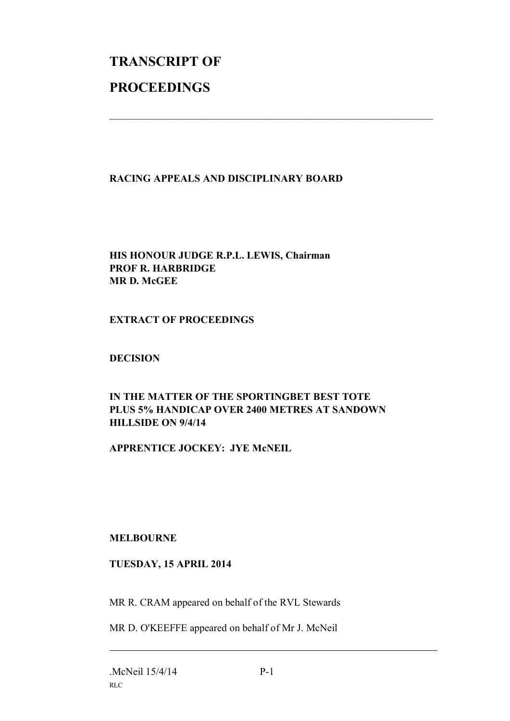# **TRANSCRIPT OF PROCEEDINGS**

# **RACING APPEALS AND DISCIPLINARY BOARD**

 $\mathcal{L}_\text{max}$  , and the contribution of the contribution of the contribution of the contribution of the contribution of the contribution of the contribution of the contribution of the contribution of the contribution of t

## **HIS HONOUR JUDGE R.P.L. LEWIS, Chairman PROF R. HARBRIDGE MR D. McGEE**

#### **EXTRACT OF PROCEEDINGS**

#### **DECISION**

# **IN THE MATTER OF THE SPORTINGBET BEST TOTE PLUS 5% HANDICAP OVER 2400 METRES AT SANDOWN HILLSIDE ON 9/4/14**

### **APPRENTICE JOCKEY: JYE McNEIL**

#### **MELBOURNE**

#### **TUESDAY, 15 APRIL 2014**

MR R. CRAM appeared on behalf of the RVL Stewards

MR D. O'KEEFFE appeared on behalf of Mr J. McNeil